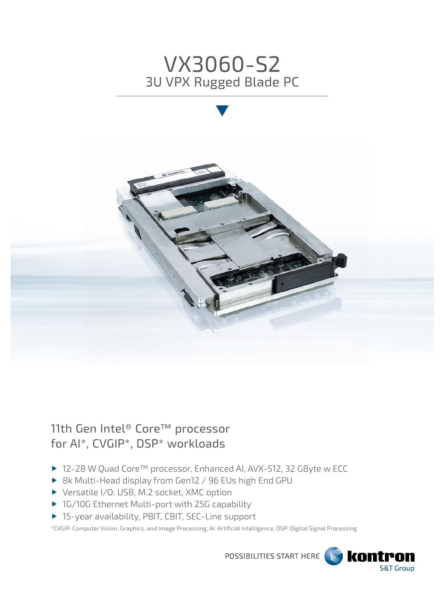



11th Gen Intel® Core™ processor for AI\*, CVGIP\*, DSP\* workloads

- ▶ 12-28 W Quad Core<sup>™</sup> processor, Enhanced AI, AVX-512, 32 GByte w ECC
- ▶ 8k Multi-Head display from Gen12 / 96 EUs high End GPU
- ▶ Versatile I/O: USB, M.2 socket, XMC option
- ▶ 1G/10G Ethernet Multi-port with 25G capability
- ▶ 15-year availability, PBIT, CBIT, SEC-Line support

\*CVGIP: Computer Vision, Graphics, and Image Processing, AI: Artificial Intelligence, DSP: Digital Signal Processing

POSSIBILITIES START HERE

**Kontron** 

**S&T Group**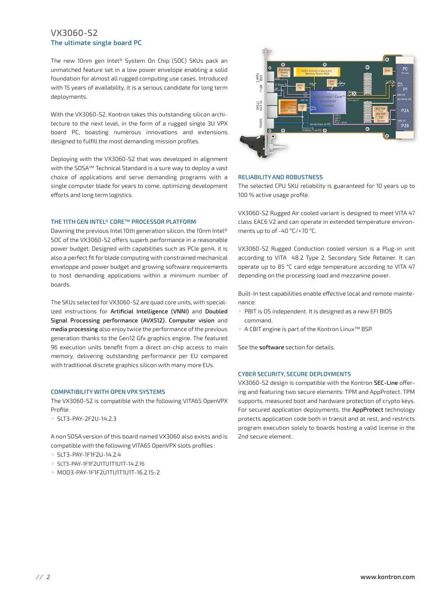# VX3060-S2 The ultimate single board PC

The new 10nm gen Intel® System On Chip (SOC) SKUs pack an unmatched feature set in a low power envelope enabling a solid foundation for almost all rugged computing use cases. Introduced with 15 years of availability, it is a serious candidate for long term deployments.

With the VX3060-S2, Kontron takes this outstanding silicon architecture to the next level, in the form of a rugged single 3U VPX board PC, boasting numerous innovations and extensions designed to fulfill the most demanding mission profiles.

Deploying with the VX3060-S2 that was developed in alignment with the SOSA™ Technical Standard is a sure way to deploy a vast choice of applications and serve demanding programs with a single computer blade for years to come, optimizing development efforts and long term logistics.

## THE 11TH GEN INTEL® CORE™ PROCESSOR PLATFORM

Dawning the previous Intel 10th generation silicon, the 10nm Intel® SOC of the VX3060-S2 offers superb performance in a reasonable power budget. Designed with capabilities such as PCIe gen4, it is also a perfect fit for blade computing with constrained mechanical enveloppe and power budget and growing software requirements to host demanding applications within a minimum number of boards.

The SKUs selected for VX3060-S2 are quad core units, with specialized instructions for Artificial Intelligence (VNNI) and Doubled Signal Processing performance (AVX512). Computer vision and media processing also enjoy twice the performance of the previous generation thanks to the Gen12 Gfx graphics engine. The featured 96 execution units benefit from a direct on-chip access to main memory, delivering outstanding performance per EU compared with traditional discrete graphics silicon with many more EUs.

#### COMPATIBILITY WITH OPEN VPX SYSTEMS

The VX3060-S2 is compatible with the following VITA65 OpenVPX Profile:

SLT3-PAY-2F2U-14.2.3

A non SOSA version of this board named VX3060 also exists and is compatible with the following VITA65 OpenVPX slots profiles :

- SLT3-PAY-1F1F2U-14.2.4
- SLT3-PAY-1F1F2U1TU1T1U1T-14.2.16
- MOD3-PAY-1F1F2U1TU1T1U1T-16.2.15-2



#### RELIABILITY AND ROBUSTNESS

The selected CPU SKU reliability is guaranteed for 10 years up to 100 % active usage profile.

VX3060-S2 Rugged Air cooled variant is designed to meet VITA 47 class EAC6 V2 and can operate in extended temperature environments up to of -40 °C/+70 °C.

VX3060-S2 Rugged Conduction cooled version is a Plug-in unit according to VITA 48.2 Type 2, Secondary Side Retainer. It can operate up to 85 °C card edge temperature according to VITA 47 depending on the processing load and mezzanine power.

Built-In test capabilities enable effective local and remote maintenance:

- ▶ PBIT is OS independent. It is designed as a new EFI BIOS command.
- A CBIT engine is part of the Kontron Linux™ BSP.

See the software section for details.

## CYBER SECURITY, SECURE DEPLOYMENTS

VX3060-S2 design is compatible with the Kontron SEC-Line offering and featuring two secure elements: TPM and AppProtect. TPM supports, measured boot and hardware protection of crypto keys. For secured application deployments, the AppProtect technology protects application code both in transit and at rest, and restricts program execution solely to boards hosting a valid license in the 2nd secure element.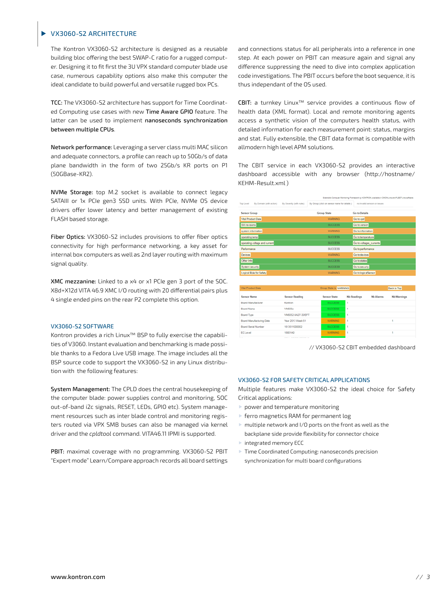# VX3060-S2 ARCHITECTURE

The Kontron VX3060-S2 architecture is designed as a reusable building bloc offering the best SWAP-C ratio for a rugged computer. Designing it to fit first the 3U VPX standard computer blade use case, numerous capability options also make this computer the ideal candidate to build powerful and versatile rugged box PCs.

TCC: The VX3060-S2 architecture has support for Time Coordinated Computing use cases with new Time Aware GPIO feature. The latter can be used to implement nanoseconds synchronization between multiple CPUs.

Network performance: Leveraging a server class multi MAC silicon and adequate connectors, a profile can reach up to 50Gb/s of data plane bandwidth in the form of two 25Gb/s KR ports on P1 (50GBase-KR2).

NVMe Storage: top M.2 socket is available to connect legacy SATAIII or 1x PCIe gen3 SSD units. With PCIe, NVMe OS device drivers offer lower latency and better management of existing FLASH based storage.

Fiber Optics: VX3060-S2 includes provisions to offer fiber optics connectivity for high performance networking, a key asset for internal box computers as well as 2nd layer routing with maximum signal quality.

XMC mezzanine: Linked to a x4 or x1 PCIe gen 3 port of the SOC. X8d+X12d VITA 46.9 XMC I/O routing with 20 differential pairs plus 4 single ended pins on the rear P2 complete this option.

#### VX3060-S2 SOFTWARE

Kontron provides a rich Linux™ BSP to fully exercise the capabilities of V3060. Instant evaluation and benchmarking is made possible thanks to a Fedora Live USB image. The image includes all the BSP source code to support the VX3060-S2 in any Linux distribution with the following features:

System Management: The CPLD does the central housekeeping of the computer blade: power supplies control and monitoring, SOC out-of-band i2c signals, RESET, LEDs, GPIO etc). System management resources such as inter blade control and monitoring registers routed via VPX SMB buses can also be managed via kernel driver and the *cpldtool* command. VITA46.11 IPMI is supported.

PBIT: maximal coverage with no programming. VX3060-S2 PBIT "Expert mode" Learn/Compare approach records all board settings

and connections status for all peripherals into a reference in one step. At each power on PBIT can measure again and signal any difference suppressing the need to dive into complex application code investigations. The PBIT occurs before the boot sequence, it is thus independant of the OS used.

CBIT: a turnkey Linux™ service provides a continuous flow of health data (XML format). Local and remote monitoring agents access a synthetic vision of the computers health status, with detailed information for each measurement point: status, margins and stat. Fully extensible, the CBIT data format is compatible with allmodern high level APM solutions.

The CBIT service in each VX3060-S2 provides an interactive dashboard accessible with any browser (http://hostname/ KEHM-Result.xml )

|                                      |                          | Extensible Computer Monitoring Framework by KONTRON, available in CMON-Line and FLEET-Line software |                               |  |  |
|--------------------------------------|--------------------------|-----------------------------------------------------------------------------------------------------|-------------------------------|--|--|
| Top Level<br>By Domain (with action) | By Severity (with rules) | By Group (click on sensor name for details )                                                        | no loyalid sensors or issues. |  |  |
| <b>Sensor Group</b>                  |                          | <b>Group State</b>                                                                                  | Go to Details                 |  |  |
| <b>Vital Product Data</b>            |                          | <b>WARNING</b>                                                                                      | Go to vpd                     |  |  |
| SW revisions                         |                          | <b>SUCCESS</b>                                                                                      | Go to version                 |  |  |
| system information                   |                          | <b>WARNING</b>                                                                                      | Go to information             |  |  |
| operating temp                       |                          | <b>SUCCESS</b>                                                                                      | Go to temperature             |  |  |
| operating voltage and current        |                          | <b>SUCCESS</b>                                                                                      | Go to voltages_currents       |  |  |
| Performance                          |                          | <b>SUCCESS</b>                                                                                      | Go to performance             |  |  |
| <b>Devices</b>                       |                          | <b>WARNING</b>                                                                                      | Go to devices                 |  |  |
| Other Info                           |                          | <b>SUCCESS</b>                                                                                      | Go to states                  |  |  |
| System security                      |                          | <b>SUCCESS</b>                                                                                      | Go to security                |  |  |
| Logical Rule for Safety              |                          | <b>WARNING</b>                                                                                      | Go to logicalSensor           |  |  |

| <b>Vital Product Data</b> |                          |                     | Group State is WARNING |                  |                    |
|---------------------------|--------------------------|---------------------|------------------------|------------------|--------------------|
| <b>Sensor Name</b>        | <b>Sensor Reading</b>    | <b>Sensor State</b> | <b>Nb Readings</b>     | <b>Nb Alarms</b> | <b>Nb Warnings</b> |
| Board Manufacturer        | Kontron                  | <b>SUCCESS</b>      |                        |                  |                    |
| Board Name                | <b>VM605x</b>            | <b>SUCCESS</b>      |                        |                  |                    |
| Board Type                | VM6052-SA27-30/EFT       | <b>SUCCESS</b>      |                        |                  |                    |
| Board Manufacturing Date  | Year 2013 Week 51        | <b>WARNING</b>      |                        |                  |                    |
| Board Serial Number       | 1813511000002            | <b>SUCCESS</b>      |                        |                  |                    |
| EC Level                  | 18001A0                  | <b>WARNING</b>      |                        |                  |                    |
| .                         | <b>***: *****:******</b> |                     |                        |                  |                    |

// VX3060-S2 CBIT embedded dashboard

#### VX3060-S2 FOR SAFETY CRITICAL APPLICATIONS

Multiple features make VX3060-S2 the ideal choice for Safety Critical applications:

- power and temperature monitoring
- ferro magnetics RAM for permanent log
- multiple network and I/O ports on the front as well as the backplane side provide flexibility for connector choice
- ▶ integrated memory ECC
- **Time Coordinated Computing: nanoseconds precision** synchronization for multi board configurations